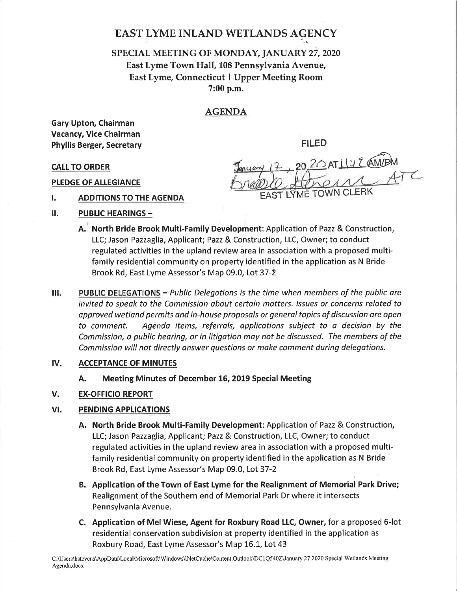# EAST LYME INLAND WETLANDS AGENCY

## SPECIAL MEETING OF MONDAY, JANUARY 27, 2020 East Lyme Town Hall, 108 Pennsylvania Avenue, East Lyme, Connecticut I Upper Meeting Room 7:00 p.m.

### AGENDA

Gary Upton, Chairman Vacancy, Vice Chairman Phyllis Berger, Secretary **FILED** 

CALL TO ORDER SALL TO ORDER  $\frac{17}{4}$  20  $\frac{20}{111112}$  AM/PM I. ADDITIONS TO THE AGENDA EAST LYME TOWN CLERK

- PLEDGE OF ALLEGIANCE
- 
- II. PUBLIC HEARINGS -
	- A. North Bride Brook Multi-Family Development: Application of Pazz & Construction, LLC; Jason Pazzaglia, Applicant; Pazz & Construction, LLC, Owner; to conduct regulated activities in the upland review area in association with a proposed multifamily residential community on property identified in the application as N Bride Brook Rd, East Lyme Assessor's Map 09.0, Lot 37-2
- Ш. PUBLIC DELEGATIONS - Public Delegations is the time when members of the public are invited to speak to the Commission about certain matters. Issues or concerns related to opproved wetlond permits ond in-house proposols or generoltopics of discussion are open to comment. Agendo items, referrols, opplications subject to o decision by the Commission, a public hearing, or in litigation may not be discussed. The members of the Commission will not directly onswer questions or moke comment during delegotions.

#### ACCEPTANCE OF MINUTES IV

A. Meeting Minutes of December 16, 2019 Special Meeting

### EX.OFFICIO REPORT V.

### VI. PENDING APPLICATIONS

- A. North Bride Brook Multi-Family Development: Application of Pazz & Construction, LLC; Jason Pazzaglia, Applicant; Pazz & Construction, LLC, Owner; to conduct regulated activities in the upland review area in association with a proposed multifamily residential community on property identified in the application as N Bride Brook Rd, East Lyme Assessor's Map 09.0, Lot 37-2
- B. Application of the Town of East Lyme for the Realignment of Memorial Park Drive; Realignment of the Southern end of Memorial Park Dr where it intersects Pennsylvania Avenue.
- C. Application of Mel Wiese, Agent for Roxbury Road LLC, Owner, for a proposed 6-lot residential conservation subdivision at property identified in the application as Roxbury Road, East Lyme Assessor's Map 16.1, Lot 43